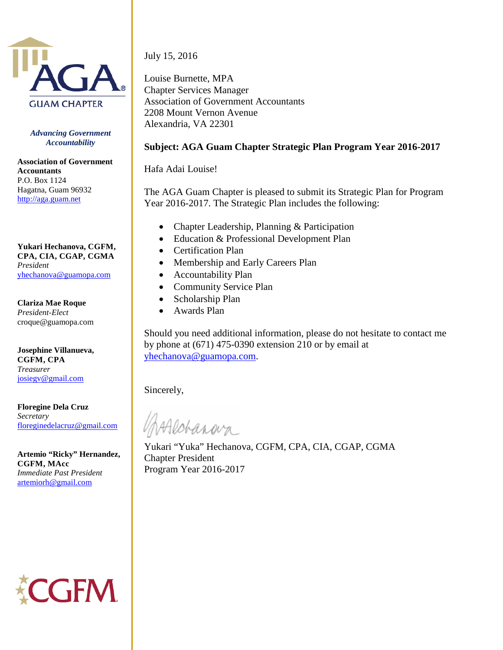

*Advancing Government Accountability*

**Association of Government Accountants** P.O. Box 1124 Hagatna, Guam 96932 [http://aga.guam.net](http://aga.guam.net/)

**Yukari Hechanova, CGFM, CPA, CIA, CGAP, CGMA** *President* [yhechanova@guamopa.com](mailto:rfield@guamopa.org)

**Clariza Mae Roque** *President-Elect* croque@guamopa.com

**Josephine Villanueva, CGFM, CPA** *Treasurer* [josiegv@gmail.com](mailto:yuka@guamwaterworks.org)

**Floregine Dela Cruz** *Secretary* [floreginedelacruz@gmail.com](mailto:floreginedelacruz@gmail.com)

**Artemio "Ricky" Hernandez, CGFM, MAcc** *Immediate Past President* [artemiorh@gmail.com](mailto:rfield@guamopa.org)

**GFM** 

July 15, 2016

Louise Burnette, MPA Chapter Services Manager Association of Government Accountants 2208 Mount Vernon Avenue Alexandria, VA 22301

## **Subject: AGA Guam Chapter Strategic Plan Program Year 2016-2017**

Hafa Adai Louise!

The AGA Guam Chapter is pleased to submit its Strategic Plan for Program Year 2016-2017. The Strategic Plan includes the following:

- Chapter Leadership, Planning & Participation
- Education & Professional Development Plan
- Certification Plan
- Membership and Early Careers Plan
- Accountability Plan
- Community Service Plan
- Scholarship Plan
- Awards Plan

Should you need additional information, please do not hesitate to contact me by phone at (671) 475-0390 extension 210 or by email at [yhechanova@guamopa.com.](mailto:yhechanova@guamopa.com)

Sincerely,

Aldranava

Yukari "Yuka" Hechanova, CGFM, CPA, CIA, CGAP, CGMA Chapter President Program Year 2016-2017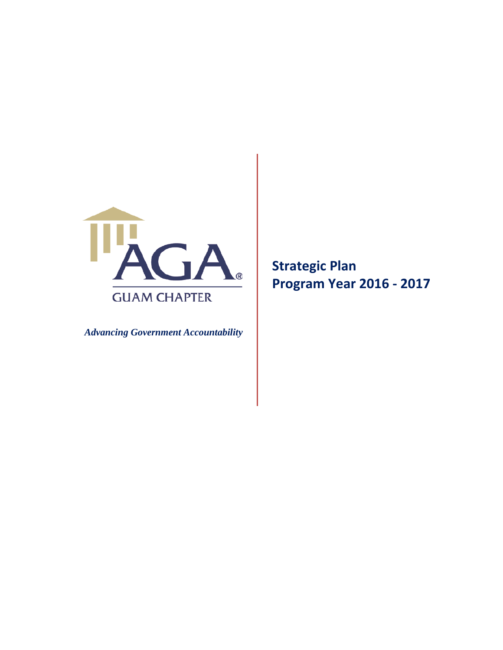

 *Advancing Government Accountability*

**Strategic Plan Program Year 2016 - 2017**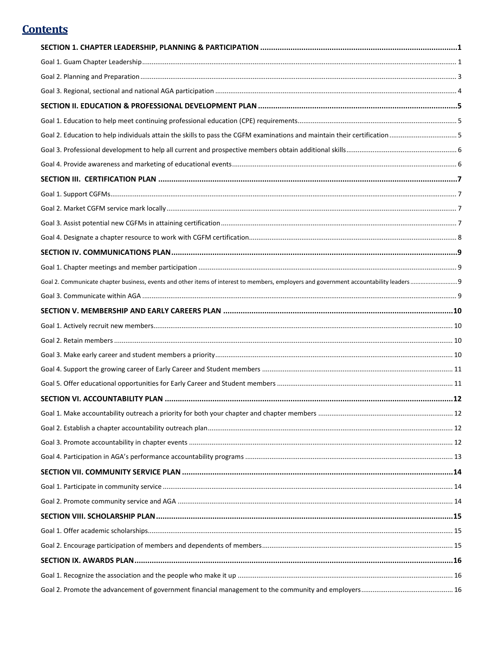# **Contents**

| SECTION 1. CHAPTER LEADERSHIP, PLANNING & PARTICIPATION …………………………………………………………………………………1                                             |  |
|--------------------------------------------------------------------------------------------------------------------------------------|--|
|                                                                                                                                      |  |
|                                                                                                                                      |  |
|                                                                                                                                      |  |
|                                                                                                                                      |  |
|                                                                                                                                      |  |
|                                                                                                                                      |  |
|                                                                                                                                      |  |
|                                                                                                                                      |  |
|                                                                                                                                      |  |
|                                                                                                                                      |  |
|                                                                                                                                      |  |
|                                                                                                                                      |  |
|                                                                                                                                      |  |
|                                                                                                                                      |  |
|                                                                                                                                      |  |
| Goal 2. Communicate chapter business, events and other items of interest to members, employers and government accountability leaders |  |
|                                                                                                                                      |  |
|                                                                                                                                      |  |
|                                                                                                                                      |  |
|                                                                                                                                      |  |
|                                                                                                                                      |  |
|                                                                                                                                      |  |
|                                                                                                                                      |  |
|                                                                                                                                      |  |
|                                                                                                                                      |  |
|                                                                                                                                      |  |
|                                                                                                                                      |  |
|                                                                                                                                      |  |
|                                                                                                                                      |  |
|                                                                                                                                      |  |
|                                                                                                                                      |  |
|                                                                                                                                      |  |
|                                                                                                                                      |  |
|                                                                                                                                      |  |
|                                                                                                                                      |  |
|                                                                                                                                      |  |
|                                                                                                                                      |  |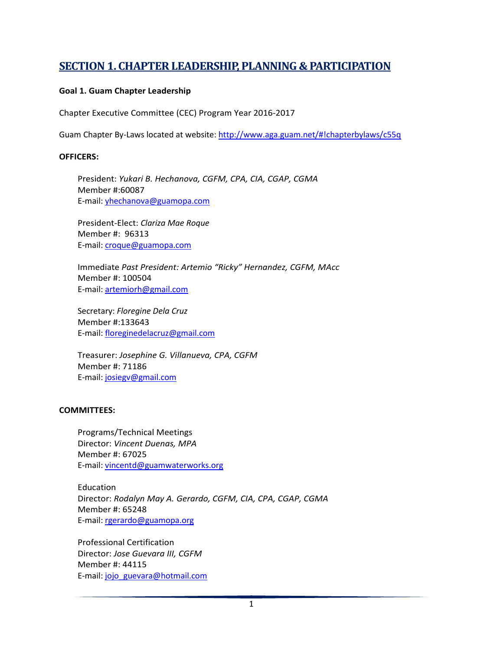# <span id="page-3-0"></span>**SECTION 1. CHAPTER LEADERSHIP, PLANNING & PARTICIPATION**

#### <span id="page-3-1"></span>**Goal 1. Guam Chapter Leadership**

Chapter Executive Committee (CEC) Program Year 2016-2017

Guam Chapter By-Laws located at website:<http://www.aga.guam.net/#!chapterbylaws/c55q>

#### **OFFICERS:**

President: *Yukari B. Hechanova, CGFM, CPA, CIA, CGAP, CGMA* Member #:60087 E-mail: [yhechanova@guamopa.com](mailto:yhechanova@guamopa.com)

President-Elect: *Clariza Mae Roque* Member #: 96313 E-mail: [croque@guamopa.com](mailto:croque@guamopa.com)

Immediate *Past President: Artemio "Ricky" Hernandez, CGFM, MAcc* Member #: 100504 E-mail: [artemiorh@gmail.com](mailto:artemiorh@gmail.com)

Secretary: *Floregine Dela Cruz* Member #:133643 E-mail: [floreginedelacruz@gmail.com](mailto:floreginedelacruz@gmail.com)

Treasurer: *Josephine G. Villanueva, CPA, CGFM* Member #: 71186 E-mail: [josiegv@gmail.com](mailto:josiegv@gmail.com)

#### **COMMITTEES:**

Programs/Technical Meetings Director: *Vincent Duenas, MPA* Member #: 67025 E-mail: [vincentd@guamwaterworks.org](mailto:vincentd@guamwaterworks.org)

Education Director: *Rodalyn May A. Gerardo, CGFM, CIA, CPA, CGAP, CGMA* Member #: 65248 E-mail: [rgerardo@guamopa.org](mailto:rgerardo@guamopa.org)

Professional Certification Director: *Jose Guevara III, CGFM* Member #: 44115 E-mail: [jojo\\_guevara@hotmail.com](mailto:jojo_guevara@hotmail.com)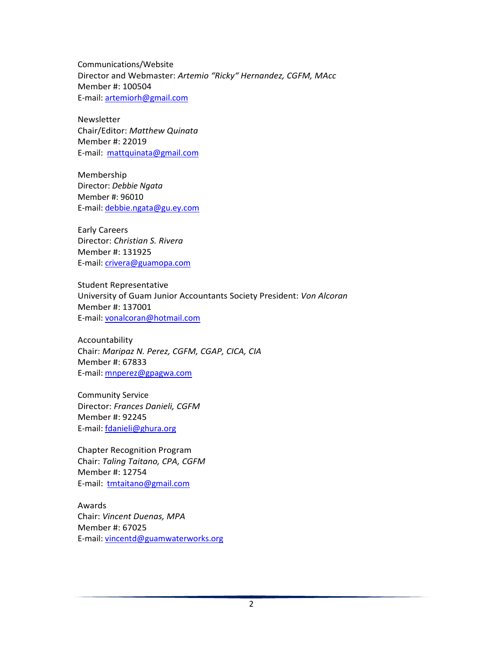Communications/Website Director and Webmaster: *Artemio "Ricky" Hernandez, CGFM, MAcc* Member #: 100504 E-mail: [artemiorh@gmail.com](mailto:artemiorh@gmail.com)

Newsletter Chair/Editor: *Matthew Quinata* Member #: 22019 E-mail: [mattquinata@gmail.com](mailto:mattquinata@gmail.com)

Membership Director: *Debbie Ngata* Member #: 96010 E-mail: [debbie.ngata@gu.ey.com](mailto:debbie.ngata@gu.ey.com)

Early Careers Director: *Christian S. Rivera* Member #: 131925 E-mail: [crivera@guamopa.com](mailto:crivera@guamopa.com)

Student Representative University of Guam Junior Accountants Society President: *Von Alcoran* Member #: 137001 E-mail: [vonalcoran@hotmail.com](mailto:vonalcoran@hotmail.com)

Accountability Chair: *Maripaz N. Perez, CGFM, CGAP, CICA, CIA* Member #: 67833 E-mail: [mnperez@gpagwa.com](mailto:mnperez@gpagwa.com)

Community Service Director: *Frances Danieli, CGFM* Member #: 92245 E-mail: [fdanieli@ghura.org](mailto:fdanieli@ghura.org)

Chapter Recognition Program Chair: *Taling Taitano, CPA, CGFM* Member #: 12754 E-mail: [tmtaitano@gmail.com](mailto:tmtaitano@gmail.com)

Awards Chair: *Vincent Duenas, MPA* Member #: 67025 E-mail: [vincentd@guamwaterworks.org](mailto:vincentd@guamwaterworks.org)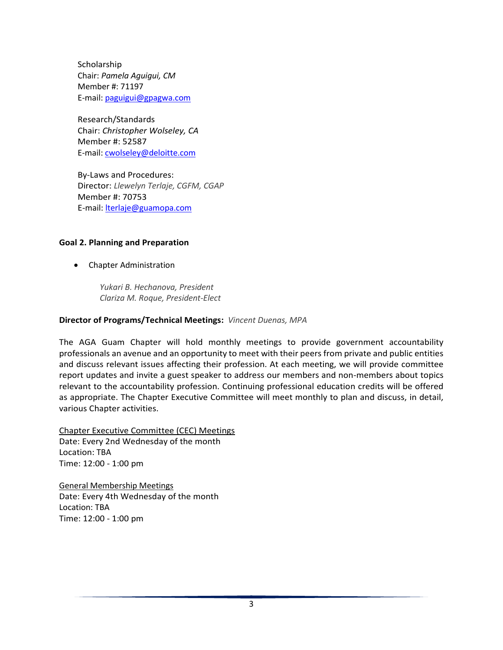Scholarship Chair: *Pamela Aguigui, CM* Member #: 71197 E-mail: [paguigui@gpagwa.com](mailto:paguigui@gpagwa.com)

Research/Standards Chair: *Christopher Wolseley, CA* Member #: 52587 E-mail: [cwolseley@deloitte.com](mailto:cwolseley@deloitte.com)

By-Laws and Procedures: Director: *Llewelyn Terlaje, CGFM, CGAP*  Member #: 70753 E-mail: [lterlaje@guamopa.com](mailto:lterlaje@guamopa.com)

#### <span id="page-5-0"></span>**Goal 2. Planning and Preparation**

• Chapter Administration

*Yukari B. Hechanova, President Clariza M. Roque, President-Elect*

#### **Director of Programs/Technical Meetings:** *Vincent Duenas, MPA*

The AGA Guam Chapter will hold monthly meetings to provide government accountability professionals an avenue and an opportunity to meet with their peers from private and public entities and discuss relevant issues affecting their profession. At each meeting, we will provide committee report updates and invite a guest speaker to address our members and non-members about topics relevant to the accountability profession. Continuing professional education credits will be offered as appropriate. The Chapter Executive Committee will meet monthly to plan and discuss, in detail, various Chapter activities.

Chapter Executive Committee (CEC) Meetings Date: Every 2nd Wednesday of the month Location: TBA Time: 12:00 - 1:00 pm

General Membership Meetings Date: Every 4th Wednesday of the month Location: TBA Time: 12:00 - 1:00 pm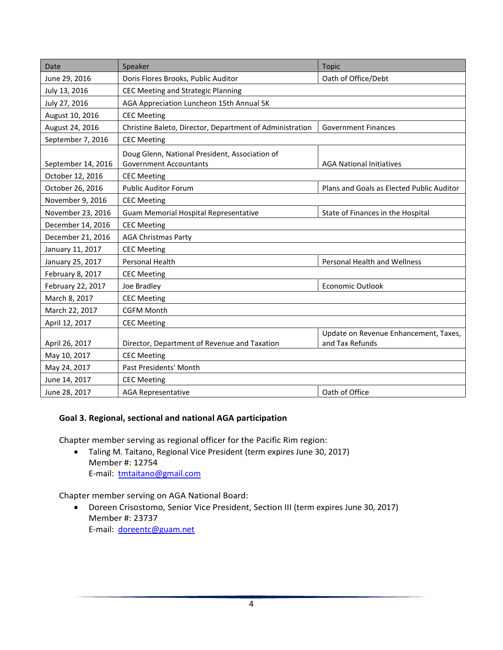| Date               | Speaker                                                                         | <b>Topic</b>                                             |  |
|--------------------|---------------------------------------------------------------------------------|----------------------------------------------------------|--|
| June 29, 2016      | Doris Flores Brooks, Public Auditor                                             | Oath of Office/Debt                                      |  |
| July 13, 2016      | CEC Meeting and Strategic Planning                                              |                                                          |  |
| July 27, 2016      | AGA Appreciation Luncheon 15th Annual 5K                                        |                                                          |  |
| August 10, 2016    | <b>CEC Meeting</b>                                                              |                                                          |  |
| August 24, 2016    | Christine Baleto, Director, Department of Administration                        | <b>Government Finances</b>                               |  |
| September 7, 2016  | <b>CEC Meeting</b>                                                              |                                                          |  |
| September 14, 2016 | Doug Glenn, National President, Association of<br><b>Government Accountants</b> | <b>AGA National Initiatives</b>                          |  |
| October 12, 2016   | <b>CEC Meeting</b>                                                              |                                                          |  |
| October 26, 2016   | <b>Public Auditor Forum</b>                                                     | Plans and Goals as Elected Public Auditor                |  |
| November 9, 2016   | <b>CEC Meeting</b>                                                              |                                                          |  |
| November 23, 2016  | Guam Memorial Hospital Representative                                           | State of Finances in the Hospital                        |  |
| December 14, 2016  | <b>CEC Meeting</b>                                                              |                                                          |  |
| December 21, 2016  | <b>AGA Christmas Party</b>                                                      |                                                          |  |
| January 11, 2017   | <b>CEC Meeting</b>                                                              |                                                          |  |
| January 25, 2017   | Personal Health                                                                 | <b>Personal Health and Wellness</b>                      |  |
| February 8, 2017   | <b>CEC Meeting</b>                                                              |                                                          |  |
| February 22, 2017  | Joe Bradley                                                                     | <b>Economic Outlook</b>                                  |  |
| March 8, 2017      | <b>CEC Meeting</b>                                                              |                                                          |  |
| March 22, 2017     | <b>CGFM Month</b>                                                               |                                                          |  |
| April 12, 2017     | <b>CEC Meeting</b>                                                              |                                                          |  |
| April 26, 2017     | Director, Department of Revenue and Taxation                                    | Update on Revenue Enhancement, Taxes,<br>and Tax Refunds |  |
| May 10, 2017       | <b>CEC Meeting</b>                                                              |                                                          |  |
| May 24, 2017       | Past Presidents' Month                                                          |                                                          |  |
| June 14, 2017      | <b>CEC Meeting</b>                                                              |                                                          |  |
| June 28, 2017      | <b>AGA Representative</b>                                                       | Oath of Office                                           |  |

### <span id="page-6-0"></span>**Goal 3. Regional, sectional and national AGA participation**

Chapter member serving as regional officer for the Pacific Rim region:

• Taling M. Taitano, Regional Vice President (term expires June 30, 2017) Member #: 12754 E-mail: [tmtaitano@gmail.com](mailto:tmtaitano@gmail.com)

Chapter member serving on AGA National Board:

• Doreen Crisostomo, Senior Vice President, Section III (term expires June 30, 2017) Member #: 23737 E-mail: [doreentc@guam.net](mailto:doreentc@guam.net)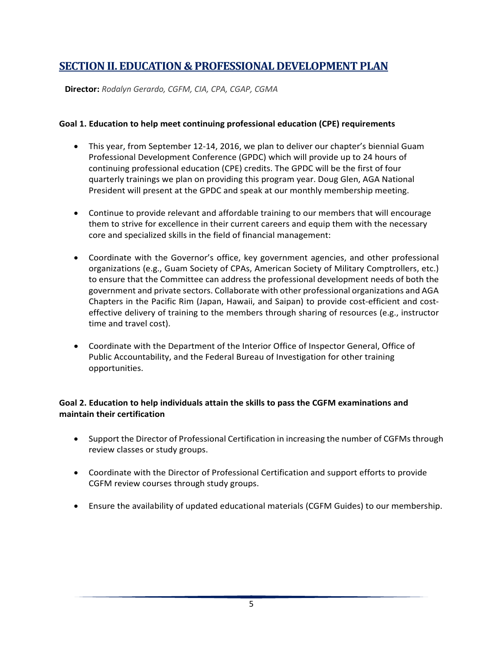# <span id="page-7-0"></span>**SECTION II. EDUCATION & PROFESSIONAL DEVELOPMENT PLAN**

**Director:** *Rodalyn Gerardo, CGFM, CIA, CPA, CGAP, CGMA*

#### <span id="page-7-1"></span>**Goal 1. Education to help meet continuing professional education (CPE) requirements**

- This year, from September 12-14, 2016, we plan to deliver our chapter's biennial Guam Professional Development Conference (GPDC) which will provide up to 24 hours of continuing professional education (CPE) credits. The GPDC will be the first of four quarterly trainings we plan on providing this program year. Doug Glen, AGA National President will present at the GPDC and speak at our monthly membership meeting.
- Continue to provide relevant and affordable training to our members that will encourage them to strive for excellence in their current careers and equip them with the necessary core and specialized skills in the field of financial management:
- Coordinate with the Governor's office, key government agencies, and other professional organizations (e.g., Guam Society of CPAs, American Society of Military Comptrollers, etc.) to ensure that the Committee can address the professional development needs of both the government and private sectors. Collaborate with other professional organizations and AGA Chapters in the Pacific Rim (Japan, Hawaii, and Saipan) to provide cost-efficient and costeffective delivery of training to the members through sharing of resources (e.g., instructor time and travel cost).
- Coordinate with the Department of the Interior Office of Inspector General, Office of Public Accountability, and the Federal Bureau of Investigation for other training opportunities.

## <span id="page-7-2"></span>**Goal 2. Education to help individuals attain the skills to pass the CGFM examinations and maintain their certification**

- Support the Director of Professional Certification in increasing the number of CGFMs through review classes or study groups.
- Coordinate with the Director of Professional Certification and support efforts to provide CGFM review courses through study groups.
- Ensure the availability of updated educational materials (CGFM Guides) to our membership.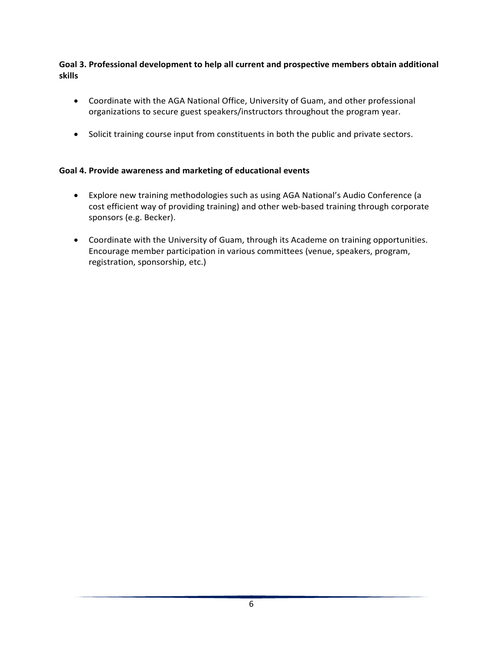### <span id="page-8-0"></span>**Goal 3. Professional development to help all current and prospective members obtain additional skills**

- Coordinate with the AGA National Office, University of Guam, and other professional organizations to secure guest speakers/instructors throughout the program year.
- <span id="page-8-1"></span>• Solicit training course input from constituents in both the public and private sectors.

### **Goal 4. Provide awareness and marketing of educational events**

- Explore new training methodologies such as using AGA National's Audio Conference (a cost efficient way of providing training) and other web-based training through corporate sponsors (e.g. Becker).
- Coordinate with the University of Guam, through its Academe on training opportunities. Encourage member participation in various committees (venue, speakers, program, registration, sponsorship, etc.)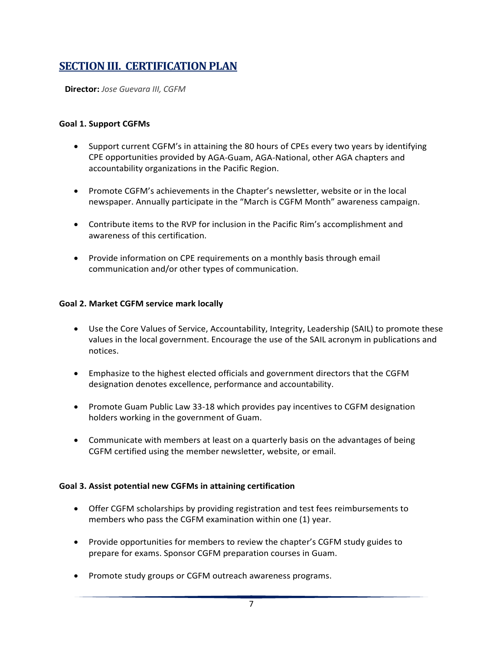# <span id="page-9-0"></span>**SECTION III. CERTIFICATION PLAN**

**Director:** *Jose Guevara III, CGFM*

#### <span id="page-9-1"></span>**Goal 1. Support CGFMs**

- Support current CGFM's in attaining the 80 hours of CPEs every two years by identifying CPE opportunities provided by AGA-Guam, AGA-National, other AGA chapters and accountability organizations in the Pacific Region.
- Promote CGFM's achievements in the Chapter's newsletter, website or in the local newspaper. Annually participate in the "March is CGFM Month" awareness campaign.
- Contribute items to the RVP for inclusion in the Pacific Rim's accomplishment and awareness of this certification.
- Provide information on CPE requirements on a monthly basis through email communication and/or other types of communication.

#### <span id="page-9-2"></span>**Goal 2. Market CGFM service mark locally**

- Use the Core Values of Service, Accountability, Integrity, Leadership (SAIL) to promote these values in the local government. Encourage the use of the SAIL acronym in publications and notices.
- Emphasize to the highest elected officials and government directors that the CGFM designation denotes excellence, performance and accountability.
- Promote Guam Public Law 33-18 which provides pay incentives to CGFM designation holders working in the government of Guam.
- Communicate with members at least on a quarterly basis on the advantages of being CGFM certified using the member newsletter, website, or email.

#### <span id="page-9-3"></span>**Goal 3. Assist potential new CGFMs in attaining certification**

- Offer CGFM scholarships by providing registration and test fees reimbursements to members who pass the CGFM examination within one (1) year.
- Provide opportunities for members to review the chapter's CGFM study guides to prepare for exams. Sponsor CGFM preparation courses in Guam.
- Promote study groups or CGFM outreach awareness programs.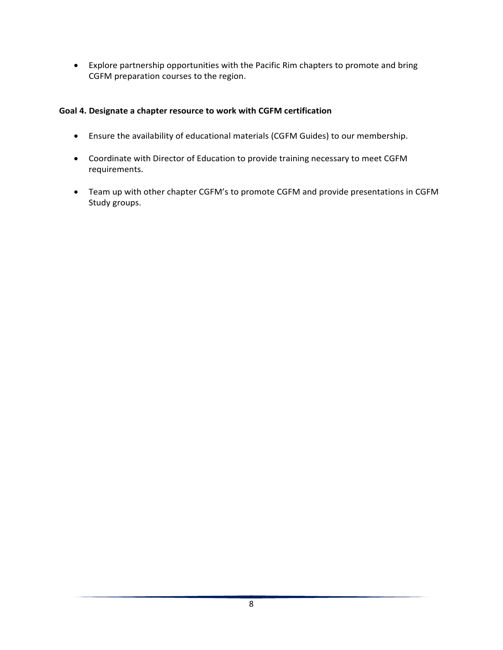<span id="page-10-0"></span>• Explore partnership opportunities with the Pacific Rim chapters to promote and bring CGFM preparation courses to the region.

## **Goal 4. Designate a chapter resource to work with CGFM certification**

- Ensure the availability of educational materials (CGFM Guides) to our membership.
- Coordinate with Director of Education to provide training necessary to meet CGFM requirements.
- Team up with other chapter CGFM's to promote CGFM and provide presentations in CGFM Study groups.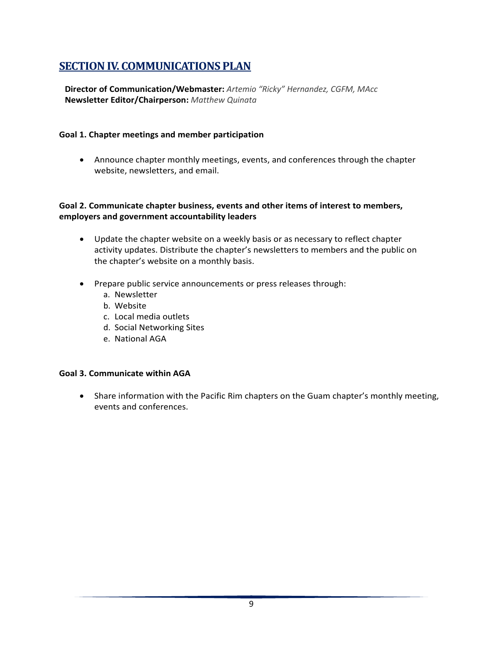# <span id="page-11-0"></span>**SECTION IV. COMMUNICATIONS PLAN**

**Director of Communication/Webmaster:** *Artemio "Ricky" Hernandez, CGFM, MAcc* **Newsletter Editor/Chairperson:** *Matthew Quinata*

### <span id="page-11-1"></span>**Goal 1. Chapter meetings and member participation**

• Announce chapter monthly meetings, events, and conferences through the chapter website, newsletters, and email.

### <span id="page-11-2"></span>**Goal 2. Communicate chapter business, events and other items of interest to members, employers and government accountability leaders**

- Update the chapter website on a weekly basis or as necessary to reflect chapter activity updates. Distribute the chapter's newsletters to members and the public on the chapter's website on a monthly basis.
- Prepare public service announcements or press releases through:
	- a. Newsletter
	- b. Website
	- c. Local media outlets
	- d. Social Networking Sites
	- e. National AGA

### <span id="page-11-3"></span>**Goal 3. Communicate within AGA**

• Share information with the Pacific Rim chapters on the Guam chapter's monthly meeting, events and conferences.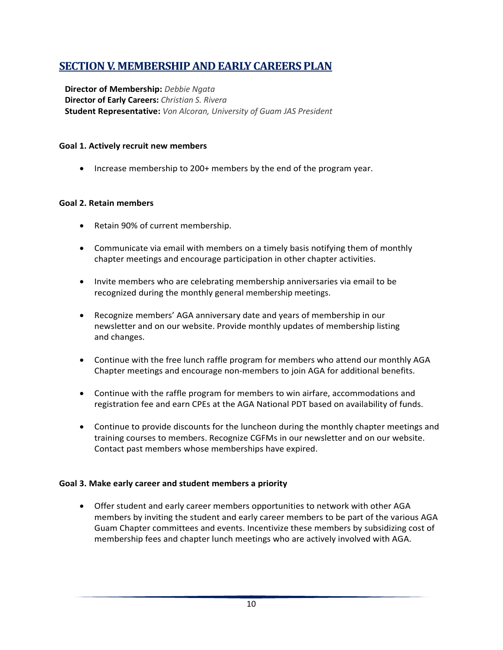# <span id="page-12-0"></span>**SECTION V. MEMBERSHIP AND EARLY CAREERS PLAN**

**Director of Membership:** *Debbie Ngata* **Director of Early Careers:** *Christian S. Rivera* **Student Representative:** *Von Alcoran, University of Guam JAS President*

### <span id="page-12-1"></span>**Goal 1. Actively recruit new members**

• Increase membership to 200+ members by the end of the program year.

#### <span id="page-12-2"></span>**Goal 2. Retain members**

- Retain 90% of current membership.
- Communicate via email with members on a timely basis notifying them of monthly chapter meetings and encourage participation in other chapter activities.
- Invite members who are celebrating membership anniversaries via email to be recognized during the monthly general membership meetings.
- Recognize members' AGA anniversary date and years of membership in our newsletter and on our website. Provide monthly updates of membership listing and changes.
- Continue with the free lunch raffle program for members who attend our monthly AGA Chapter meetings and encourage non-members to join AGA for additional benefits.
- Continue with the raffle program for members to win airfare, accommodations and registration fee and earn CPEs at the AGA National PDT based on availability of funds.
- Continue to provide discounts for the luncheon during the monthly chapter meetings and training courses to members. Recognize CGFMs in our newsletter and on our website. Contact past members whose memberships have expired.

### <span id="page-12-3"></span>**Goal 3. Make early career and student members a priority**

• Offer student and early career members opportunities to network with other AGA members by inviting the student and early career members to be part of the various AGA Guam Chapter committees and events. Incentivize these members by subsidizing cost of membership fees and chapter lunch meetings who are actively involved with AGA.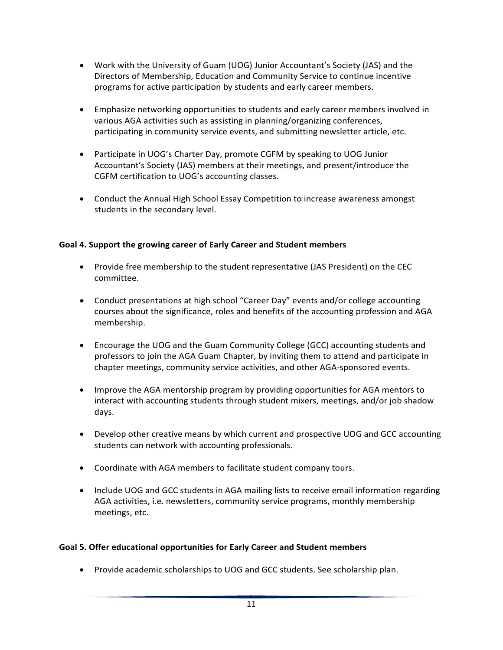- Work with the University of Guam (UOG) Junior Accountant's Society (JAS) and the Directors of Membership, Education and Community Service to continue incentive programs for active participation by students and early career members.
- Emphasize networking opportunities to students and early career members involved in various AGA activities such as assisting in planning/organizing conferences, participating in community service events, and submitting newsletter article, etc.
- Participate in UOG's Charter Day, promote CGFM by speaking to UOG Junior Accountant's Society (JAS) members at their meetings, and present/introduce the CGFM certification to UOG's accounting classes.
- Conduct the Annual High School Essay Competition to increase awareness amongst students in the secondary level.

# <span id="page-13-0"></span>**Goal 4. Support the growing career of Early Career and Student members**

- Provide free membership to the student representative (JAS President) on the CEC committee.
- Conduct presentations at high school "Career Day" events and/or college accounting courses about the significance, roles and benefits of the accounting profession and AGA membership.
- Encourage the UOG and the Guam Community College (GCC) accounting students and professors to join the AGA Guam Chapter, by inviting them to attend and participate in chapter meetings, community service activities, and other AGA-sponsored events.
- Improve the AGA mentorship program by providing opportunities for AGA mentors to interact with accounting students through student mixers, meetings, and/or job shadow days.
- Develop other creative means by which current and prospective UOG and GCC accounting students can network with accounting professionals.
- Coordinate with AGA members to facilitate student company tours.
- Include UOG and GCC students in AGA mailing lists to receive email information regarding AGA activities, i.e. newsletters, community service programs, monthly membership meetings, etc.

### <span id="page-13-1"></span>**Goal 5. Offer educational opportunities for Early Career and Student members**

• Provide academic scholarships to UOG and GCC students. See scholarship plan.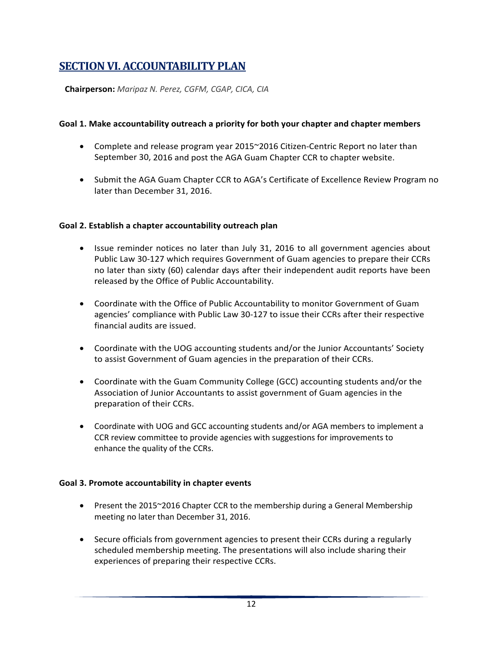# <span id="page-14-0"></span>**SECTION VI. ACCOUNTABILITY PLAN**

**Chairperson:** *Maripaz N. Perez, CGFM, CGAP, CICA, CIA*

#### <span id="page-14-1"></span>**Goal 1. Make accountability outreach a priority for both your chapter and chapter members**

- Complete and release program year 2015~2016 Citizen-Centric Report no later than September 30, 2016 and post the AGA Guam Chapter CCR to chapter website.
- Submit the AGA Guam Chapter CCR to AGA's Certificate of Excellence Review Program no later than December 31, 2016.

#### <span id="page-14-2"></span>**Goal 2. Establish a chapter accountability outreach plan**

- Issue reminder notices no later than July 31, 2016 to all government agencies about Public Law 30-127 which requires Government of Guam agencies to prepare their CCRs no later than sixty (60) calendar days after their independent audit reports have been released by the Office of Public Accountability.
- Coordinate with the Office of Public Accountability to monitor Government of Guam agencies' compliance with Public Law 30-127 to issue their CCRs after their respective financial audits are issued.
- Coordinate with the UOG accounting students and/or the Junior Accountants' Society to assist Government of Guam agencies in the preparation of their CCRs.
- Coordinate with the Guam Community College (GCC) accounting students and/or the Association of Junior Accountants to assist government of Guam agencies in the preparation of their CCRs.
- Coordinate with UOG and GCC accounting students and/or AGA members to implement a CCR review committee to provide agencies with suggestions for improvements to enhance the quality of the CCRs.

#### <span id="page-14-3"></span>**Goal 3. Promote accountability in chapter events**

- Present the 2015~2016 Chapter CCR to the membership during a General Membership meeting no later than December 31, 2016.
- Secure officials from government agencies to present their CCRs during a regularly scheduled membership meeting. The presentations will also include sharing their experiences of preparing their respective CCRs.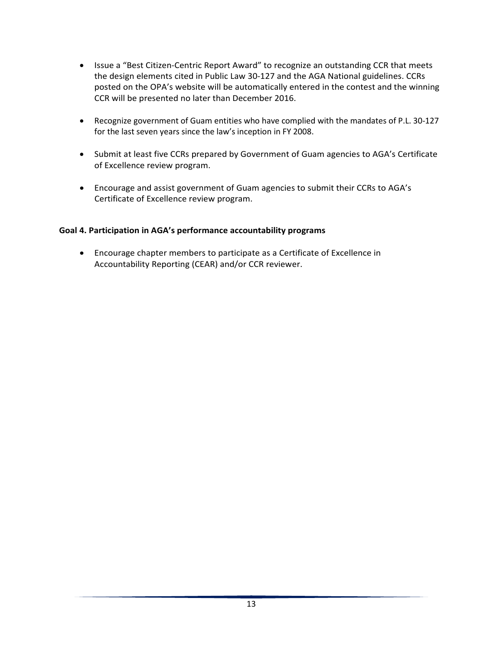- Issue a "Best Citizen-Centric Report Award" to recognize an outstanding CCR that meets the design elements cited in Public Law 30-127 and the AGA National guidelines. CCRs posted on the OPA's website will be automatically entered in the contest and the winning CCR will be presented no later than December 2016.
- Recognize government of Guam entities who have complied with the mandates of P.L. 30-127 for the last seven years since the law's inception in FY 2008.
- Submit at least five CCRs prepared by Government of Guam agencies to AGA's Certificate of Excellence review program.
- Encourage and assist government of Guam agencies to submit their CCRs to AGA's Certificate of Excellence review program.

## <span id="page-15-0"></span>**Goal 4. Participation in AGA's performance accountability programs**

• Encourage chapter members to participate as a Certificate of Excellence in Accountability Reporting (CEAR) and/or CCR reviewer.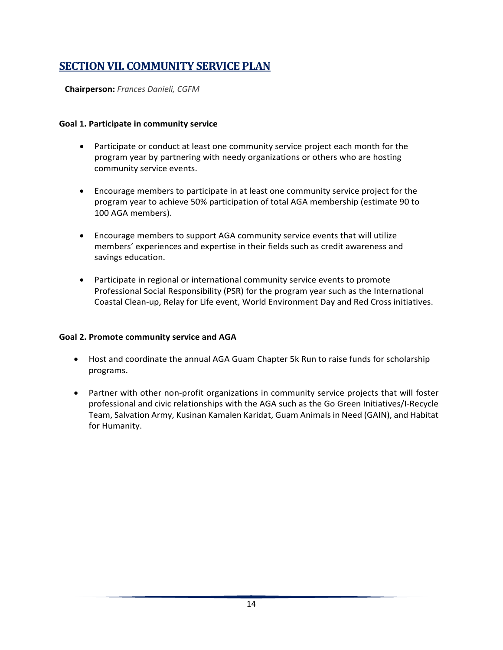# <span id="page-16-0"></span>**SECTION VII. COMMUNITY SERVICE PLAN**

**Chairperson:** *Frances Danieli, CGFM*

#### <span id="page-16-1"></span>**Goal 1. Participate in community service**

- Participate or conduct at least one community service project each month for the program year by partnering with needy organizations or others who are hosting community service events.
- Encourage members to participate in at least one community service project for the program year to achieve 50% participation of total AGA membership (estimate 90 to 100 AGA members).
- Encourage members to support AGA community service events that will utilize members' experiences and expertise in their fields such as credit awareness and savings education.
- Participate in regional or international community service events to promote Professional Social Responsibility (PSR) for the program year such as the International Coastal Clean-up, Relay for Life event, World Environment Day and Red Cross initiatives.

### <span id="page-16-2"></span>**Goal 2. Promote community service and AGA**

- Host and coordinate the annual AGA Guam Chapter 5k Run to raise funds for scholarship programs.
- Partner with other non-profit organizations in community service projects that will foster professional and civic relationships with the AGA such as the Go Green Initiatives/I-Recycle Team, Salvation Army, Kusinan Kamalen Karidat, Guam Animals in Need (GAIN), and Habitat for Humanity.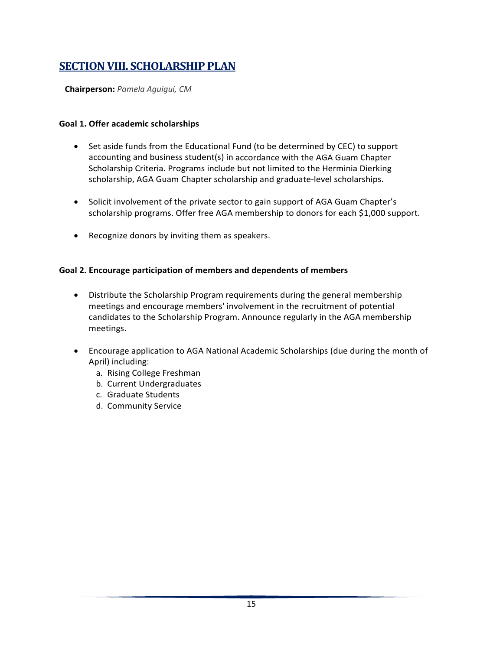# <span id="page-17-0"></span>**SECTION VIII. SCHOLARSHIP PLAN**

**Chairperson:** *Pamela Aguigui, CM*

## <span id="page-17-1"></span>**Goal 1. Offer academic scholarships**

- Set aside funds from the Educational Fund (to be determined by CEC) to support accounting and business student(s) in accordance with the AGA Guam Chapter Scholarship Criteria. Programs include but not limited to the Herminia Dierking scholarship, AGA Guam Chapter scholarship and graduate-level scholarships.
- Solicit involvement of the private sector to gain support of AGA Guam Chapter's scholarship programs. Offer free AGA membership to donors for each \$1,000 support.
- Recognize donors by inviting them as speakers.

# <span id="page-17-2"></span>**Goal 2. Encourage participation of members and dependents of members**

- Distribute the Scholarship Program requirements during the general membership meetings and encourage members' involvement in the recruitment of potential candidates to the Scholarship Program. Announce regularly in the AGA membership meetings.
- Encourage application to AGA National Academic Scholarships (due during the month of April) including:
	- a. Rising College Freshman
	- b. Current Undergraduates
	- c. Graduate Students
	- d. Community Service